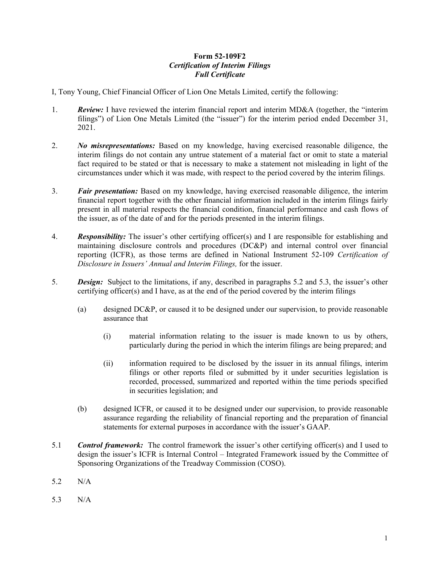## **Form 52-109F2**  *Certification of Interim Filings Full Certificate*

I, Tony Young, Chief Financial Officer of Lion One Metals Limited, certify the following:

- 1. *Review:* I have reviewed the interim financial report and interim MD&A (together, the "interim filings") of Lion One Metals Limited (the "issuer") for the interim period ended December 31, 2021.
- 2. *No misrepresentations:* Based on my knowledge, having exercised reasonable diligence, the interim filings do not contain any untrue statement of a material fact or omit to state a material fact required to be stated or that is necessary to make a statement not misleading in light of the circumstances under which it was made, with respect to the period covered by the interim filings.
- 3. *Fair presentation:* Based on my knowledge, having exercised reasonable diligence, the interim financial report together with the other financial information included in the interim filings fairly present in all material respects the financial condition, financial performance and cash flows of the issuer, as of the date of and for the periods presented in the interim filings.
- 4. *Responsibility:* The issuer's other certifying officer(s) and I are responsible for establishing and maintaining disclosure controls and procedures (DC&P) and internal control over financial reporting (ICFR), as those terms are defined in National Instrument 52-109 *Certification of Disclosure in Issuers' Annual and Interim Filings,* for the issuer.
- 5. *Design:* Subject to the limitations, if any, described in paragraphs 5.2 and 5.3, the issuer's other certifying officer(s) and I have, as at the end of the period covered by the interim filings
	- (a) designed DC&P, or caused it to be designed under our supervision, to provide reasonable assurance that
		- (i) material information relating to the issuer is made known to us by others, particularly during the period in which the interim filings are being prepared; and
		- (ii) information required to be disclosed by the issuer in its annual filings, interim filings or other reports filed or submitted by it under securities legislation is recorded, processed, summarized and reported within the time periods specified in securities legislation; and
	- (b) designed ICFR, or caused it to be designed under our supervision, to provide reasonable assurance regarding the reliability of financial reporting and the preparation of financial statements for external purposes in accordance with the issuer's GAAP.
- 5.1 *Control framework:* The control framework the issuer's other certifying officer(s) and I used to design the issuer's ICFR is Internal Control – Integrated Framework issued by the Committee of Sponsoring Organizations of the Treadway Commission (COSO).
- 5.2 N/A
- 5.3 N/A